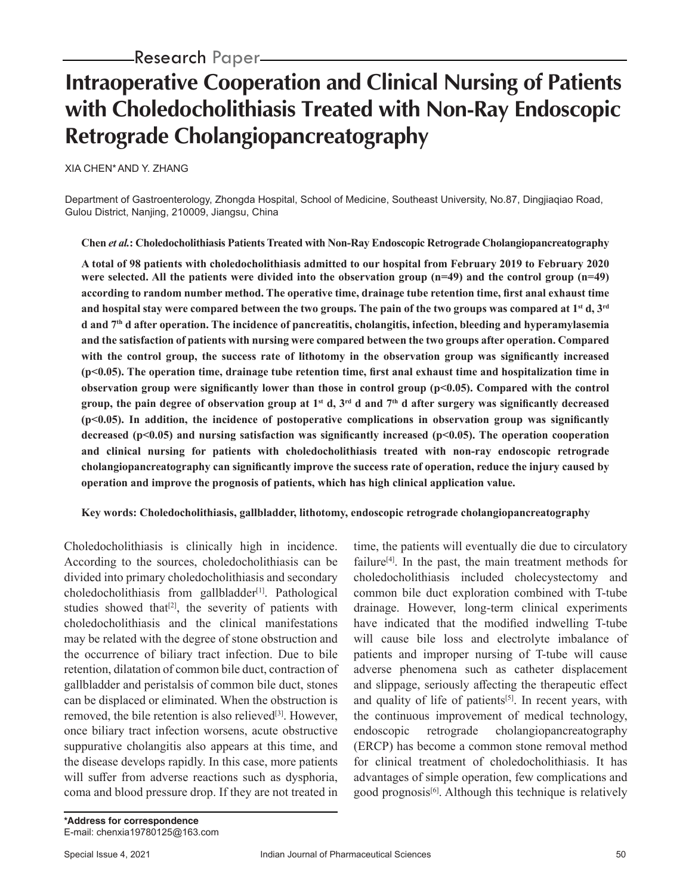# **Intraoperative Cooperation and Clinical Nursing of Patients with Choledocholithiasis Treated with Non-Ray Endoscopic Retrograde Cholangiopancreatography**

XIA CHEN\*AND Y. ZHANG

Department of Gastroenterology, Zhongda Hospital, School of Medicine, Southeast University, No.87, Dingjiaqiao Road, Gulou District, Nanjing, 210009, Jiangsu, China

**Chen** *et al.***: Choledocholithiasis Patients Treated with Non-Ray Endoscopic Retrograde Cholangiopancreatography**

**A total of 98 patients with choledocholithiasis admitted to our hospital from February 2019 to February 2020 were selected. All the patients were divided into the observation group (n=49) and the control group (n=49) according to random number method. The operative time, drainage tube retention time, first anal exhaust time and hospital stay were compared between the two groups. The pain of the two groups was compared at 1st d, 3rd d and 7th d after operation. The incidence of pancreatitis, cholangitis, infection, bleeding and hyperamylasemia and the satisfaction of patients with nursing were compared between the two groups after operation. Compared with the control group, the success rate of lithotomy in the observation group was significantly increased (p<0.05). The operation time, drainage tube retention time, first anal exhaust time and hospitalization time in observation group were significantly lower than those in control group (p<0.05). Compared with the control group, the pain degree of observation group at 1st d, 3rd d and 7th d after surgery was significantly decreased (p<0.05). In addition, the incidence of postoperative complications in observation group was significantly decreased (p<0.05) and nursing satisfaction was significantly increased (p<0.05). The operation cooperation and clinical nursing for patients with choledocholithiasis treated with non-ray endoscopic retrograde cholangiopancreatography can significantly improve the success rate of operation, reduce the injury caused by operation and improve the prognosis of patients, which has high clinical application value.**

## **Key words: Choledocholithiasis, gallbladder, lithotomy, endoscopic retrograde cholangiopancreatography**

Choledocholithiasis is clinically high in incidence. According to the sources, choledocholithiasis can be divided into primary choledocholithiasis and secondary  $chole docholithiasis$  from gallbladder<sup>[1]</sup>. Pathological studies showed that<sup>[2]</sup>, the severity of patients with choledocholithiasis and the clinical manifestations may be related with the degree of stone obstruction and the occurrence of biliary tract infection. Due to bile retention, dilatation of common bile duct, contraction of gallbladder and peristalsis of common bile duct, stones can be displaced or eliminated. When the obstruction is removed, the bile retention is also relieved<sup>[3]</sup>. However, once biliary tract infection worsens, acute obstructive suppurative cholangitis also appears at this time, and the disease develops rapidly. In this case, more patients will suffer from adverse reactions such as dysphoria, coma and blood pressure drop. If they are not treated in

time, the patients will eventually die due to circulatory failure<sup>[4]</sup>. In the past, the main treatment methods for choledocholithiasis included cholecystectomy and common bile duct exploration combined with T-tube drainage. However, long-term clinical experiments have indicated that the modified indwelling T-tube will cause bile loss and electrolyte imbalance of patients and improper nursing of T-tube will cause adverse phenomena such as catheter displacement and slippage, seriously affecting the therapeutic effect and quality of life of patients<sup>[5]</sup>. In recent years, with the continuous improvement of medical technology, endoscopic retrograde cholangiopancreatography (ERCP) has become a common stone removal method for clinical treatment of choledocholithiasis. It has advantages of simple operation, few complications and good prognosis<sup>[6]</sup>. Although this technique is relatively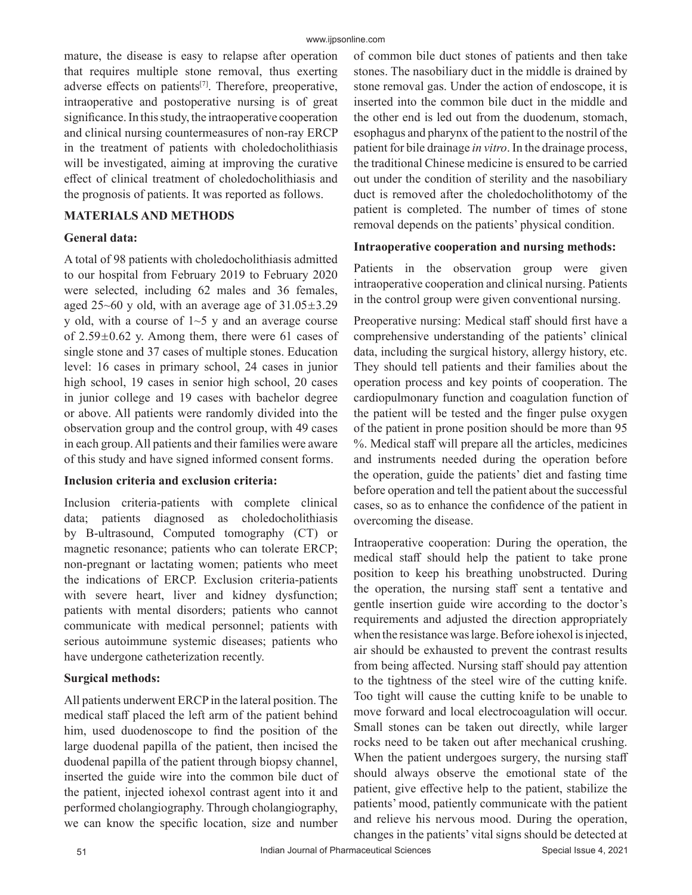mature, the disease is easy to relapse after operation that requires multiple stone removal, thus exerting adverse effects on patients<sup>[7]</sup>. Therefore, preoperative, intraoperative and postoperative nursing is of great significance. In this study, the intraoperative cooperation and clinical nursing countermeasures of non-ray ERCP in the treatment of patients with choledocholithiasis will be investigated, aiming at improving the curative effect of clinical treatment of choledocholithiasis and the prognosis of patients. It was reported as follows.

#### **MATERIALS AND METHODS**

#### **General data:**

A total of 98 patients with choledocholithiasis admitted to our hospital from February 2019 to February 2020 were selected, including 62 males and 36 females, aged 25~60 y old, with an average age of  $31.05\pm3.29$ y old, with a course of  $1~5$  y and an average course of  $2.59\pm0.62$  y. Among them, there were 61 cases of single stone and 37 cases of multiple stones. Education level: 16 cases in primary school, 24 cases in junior high school, 19 cases in senior high school, 20 cases in junior college and 19 cases with bachelor degree or above. All patients were randomly divided into the observation group and the control group, with 49 cases in each group. All patients and their families were aware of this study and have signed informed consent forms.

#### **Inclusion criteria and exclusion criteria:**

Inclusion criteria-patients with complete clinical data; patients diagnosed as choledocholithiasis by B-ultrasound, Computed tomography (CT) or magnetic resonance; patients who can tolerate ERCP; non-pregnant or lactating women; patients who meet the indications of ERCP. Exclusion criteria-patients with severe heart, liver and kidney dysfunction; patients with mental disorders; patients who cannot communicate with medical personnel; patients with serious autoimmune systemic diseases; patients who have undergone catheterization recently.

#### **Surgical methods:**

All patients underwent ERCP in the lateral position. The medical staff placed the left arm of the patient behind him, used duodenoscope to find the position of the large duodenal papilla of the patient, then incised the duodenal papilla of the patient through biopsy channel, inserted the guide wire into the common bile duct of the patient, injected iohexol contrast agent into it and performed cholangiography. Through cholangiography, we can know the specific location, size and number of common bile duct stones of patients and then take stones. The nasobiliary duct in the middle is drained by stone removal gas. Under the action of endoscope, it is inserted into the common bile duct in the middle and the other end is led out from the duodenum, stomach, esophagus and pharynx of the patient to the nostril of the patient for bile drainage *in vitro*. In the drainage process, the traditional Chinese medicine is ensured to be carried out under the condition of sterility and the nasobiliary duct is removed after the choledocholithotomy of the patient is completed. The number of times of stone removal depends on the patients' physical condition.

#### **Intraoperative cooperation and nursing methods:**

Patients in the observation group were given intraoperative cooperation and clinical nursing. Patients in the control group were given conventional nursing.

Preoperative nursing: Medical staff should first have a comprehensive understanding of the patients' clinical data, including the surgical history, allergy history, etc. They should tell patients and their families about the operation process and key points of cooperation. The cardiopulmonary function and coagulation function of the patient will be tested and the finger pulse oxygen of the patient in prone position should be more than 95 %. Medical staff will prepare all the articles, medicines and instruments needed during the operation before the operation, guide the patients' diet and fasting time before operation and tell the patient about the successful cases, so as to enhance the confidence of the patient in overcoming the disease.

Intraoperative cooperation: During the operation, the medical staff should help the patient to take prone position to keep his breathing unobstructed. During the operation, the nursing staff sent a tentative and gentle insertion guide wire according to the doctor's requirements and adjusted the direction appropriately when the resistance was large. Before iohexol is injected, air should be exhausted to prevent the contrast results from being affected. Nursing staff should pay attention to the tightness of the steel wire of the cutting knife. Too tight will cause the cutting knife to be unable to move forward and local electrocoagulation will occur. Small stones can be taken out directly, while larger rocks need to be taken out after mechanical crushing. When the patient undergoes surgery, the nursing staff should always observe the emotional state of the patient, give effective help to the patient, stabilize the patients' mood, patiently communicate with the patient and relieve his nervous mood. During the operation, changes in the patients' vital signs should be detected at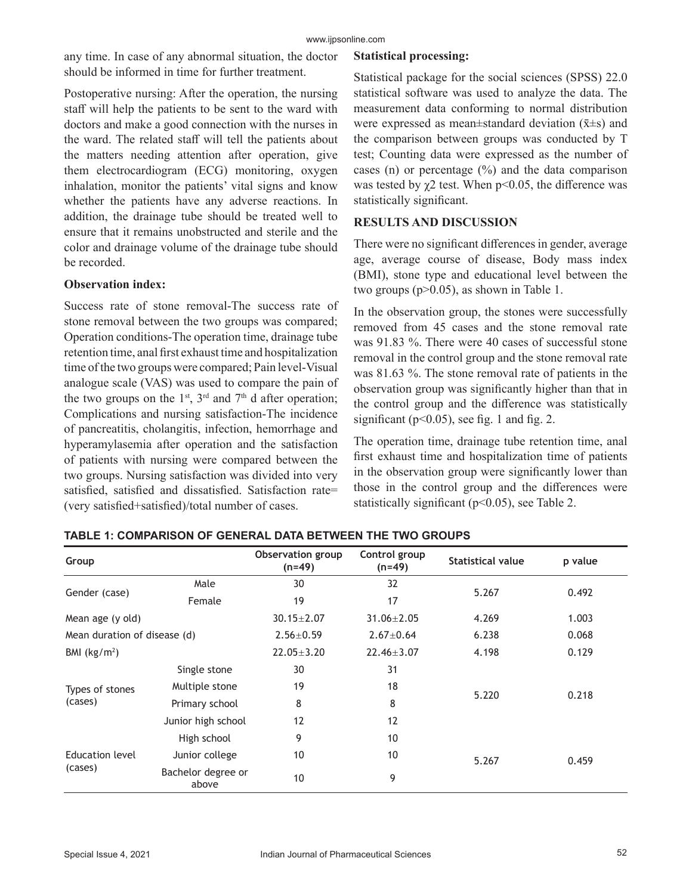any time. In case of any abnormal situation, the doctor should be informed in time for further treatment.

Postoperative nursing: After the operation, the nursing staff will help the patients to be sent to the ward with doctors and make a good connection with the nurses in the ward. The related staff will tell the patients about the matters needing attention after operation, give them electrocardiogram (ECG) monitoring, oxygen inhalation, monitor the patients' vital signs and know whether the patients have any adverse reactions. In addition, the drainage tube should be treated well to ensure that it remains unobstructed and sterile and the color and drainage volume of the drainage tube should be recorded.

## **Observation index:**

Success rate of stone removal-The success rate of stone removal between the two groups was compared; Operation conditions-The operation time, drainage tube retention time, anal first exhaust time and hospitalization time of the two groups were compared; Pain level-Visual analogue scale (VAS) was used to compare the pain of the two groups on the  $1<sup>st</sup>$ ,  $3<sup>rd</sup>$  and  $7<sup>th</sup>$  d after operation; Complications and nursing satisfaction-The incidence of pancreatitis, cholangitis, infection, hemorrhage and hyperamylasemia after operation and the satisfaction of patients with nursing were compared between the two groups. Nursing satisfaction was divided into very satisfied, satisfied and dissatisfied. Satisfaction rate= (very satisfied+satisfied)/total number of cases.

## **Statistical processing:**

Statistical package for the social sciences (SPSS) 22.0 statistical software was used to analyze the data. The measurement data conforming to normal distribution were expressed as mean $\pm$ standard deviation ( $\bar{x} \pm s$ ) and the comparison between groups was conducted by T test; Counting data were expressed as the number of cases (n) or percentage  $(\%)$  and the data comparison was tested by  $\chi$ 2 test. When p<0.05, the difference was statistically significant.

## **RESULTS AND DISCUSSION**

There were no significant differences in gender, average age, average course of disease, Body mass index (BMI), stone type and educational level between the two groups (p>0.05), as shown in Table 1.

In the observation group, the stones were successfully removed from 45 cases and the stone removal rate was 91.83 %. There were 40 cases of successful stone removal in the control group and the stone removal rate was 81.63 %. The stone removal rate of patients in the observation group was significantly higher than that in the control group and the difference was statistically significant ( $p<0.05$ ), see fig. 1 and fig. 2.

The operation time, drainage tube retention time, anal first exhaust time and hospitalization time of patients in the observation group were significantly lower than those in the control group and the differences were statistically significant (p<0.05), see Table 2.

| Group                      |                              | Observation group<br>$(n=49)$ | Control group<br>$(n=49)$ | <b>Statistical value</b> | p value |
|----------------------------|------------------------------|-------------------------------|---------------------------|--------------------------|---------|
| Gender (case)              | Male                         | 30                            | 32                        | 5.267                    | 0.492   |
|                            | Female                       | 19                            | 17                        |                          |         |
| Mean age (y old)           |                              | $30.15 \pm 2.07$              | $31.06 \pm 2.05$          | 4.269                    | 1.003   |
|                            | Mean duration of disease (d) |                               | $2.67 \pm 0.64$           | 6.238                    | 0.068   |
| BMI $(kg/m2)$              |                              | $22.05 \pm 3.20$              | $22.46 \pm 3.07$          | 4.198                    | 0.129   |
| Types of stones<br>(cases) | Single stone                 | 30                            | 31                        | 5.220                    | 0.218   |
|                            | Multiple stone               | 19                            | 18                        |                          |         |
|                            | Primary school               | 8                             | 8                         |                          |         |
|                            | Junior high school           | 12                            | 12                        |                          |         |
|                            | High school                  | 9                             | 10                        |                          |         |
| Education level<br>(cases) | Junior college               | 10                            | 10                        | 5.267                    | 0.459   |
|                            | Bachelor degree or<br>above  | 10                            | 9                         |                          |         |

## **TABLE 1: COMPARISON OF GENERAL DATA BETWEEN THE TWO GROUPS**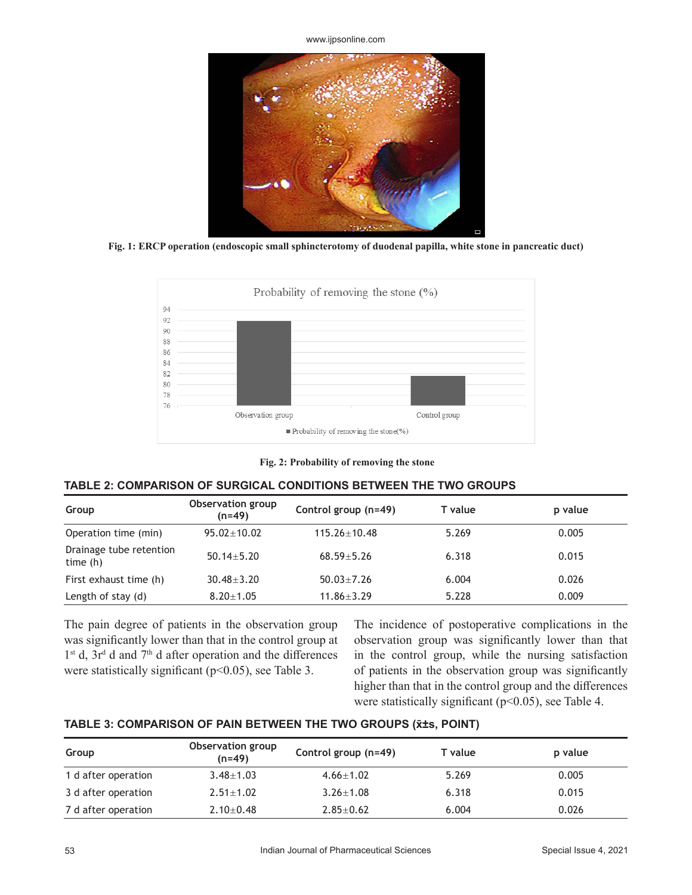www.ijpsonline.com



**Fig. 1: ERCP operation (endoscopic small sphincterotomy of duodenal papilla, white stone in pancreatic duct)**



**Fig. 2: Probability of removing the stone**

# **TABLE 2: COMPARISON OF SURGICAL CONDITIONS BETWEEN THE TWO GROUPS**

| Group                                 | Observation group<br>(n=49) | Control group (n=49) | T value | p value |
|---------------------------------------|-----------------------------|----------------------|---------|---------|
| Operation time (min)                  | $95.02 + 10.02$             | $115.26 + 10.48$     | 5.269   | 0.005   |
| Drainage tube retention<br>time $(h)$ | $50.14 + 5.20$              | $68.59 + 5.26$       | 6.318   | 0.015   |
| First exhaust time (h)                | $30.48 + 3.20$              | $50.03 + 7.26$       | 6.004   | 0.026   |
| Length of stay (d)                    | $8.20 \pm 1.05$             | $11.86 \pm 3.29$     | 5.228   | 0.009   |

The pain degree of patients in the observation group was significantly lower than that in the control group at  $1<sup>st</sup>$  d,  $3r<sup>d</sup>$  d and  $7<sup>th</sup>$  d after operation and the differences were statistically significant ( $p<0.05$ ), see Table 3.

The incidence of postoperative complications in the observation group was significantly lower than that in the control group, while the nursing satisfaction of patients in the observation group was significantly higher than that in the control group and the differences were statistically significant ( $p$ <0.05), see Table 4.

# **TABLE 3: COMPARISON OF PAIN BETWEEN THE TWO GROUPS (x̄±s, POINT)**

| Group               | Observation group<br>$(n=49)$ | Control group (n=49) | T value | p value |
|---------------------|-------------------------------|----------------------|---------|---------|
| 1 d after operation | $3.48 \pm 1.03$               | $4.66 + 1.02$        | 5.269   | 0.005   |
| 3 d after operation | $2.51 + 1.02$                 | $3.26 + 1.08$        | 6.318   | 0.015   |
| 7 d after operation | $2.10 + 0.48$                 | $2.85 + 0.62$        | 6.004   | 0.026   |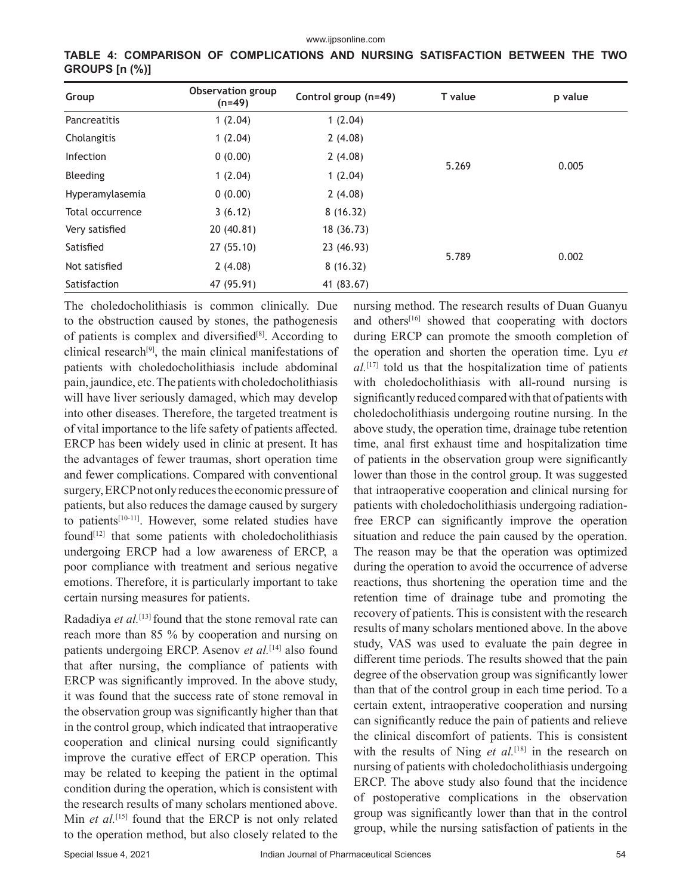| Group            | Observation group<br>$(n=49)$ | Control group (n=49) | T value | p value |
|------------------|-------------------------------|----------------------|---------|---------|
| Pancreatitis     | 1(2.04)                       | 1(2.04)              |         |         |
| Cholangitis      | 1(2.04)                       | 2(4.08)              | 5.269   | 0.005   |
| <b>Infection</b> | 0(0.00)                       | 2(4.08)              |         |         |
| Bleeding         | 1(2.04)                       | 1(2.04)              |         |         |
| Hyperamylasemia  | 0(0.00)                       | 2(4.08)              |         |         |
| Total occurrence | 3(6.12)                       | 8(16.32)             |         |         |
| Very satisfied   | 20 (40.81)                    | 18 (36.73)           |         |         |
| Satisfied        | 27 (55.10)                    | 23 (46.93)           | 5.789   | 0.002   |
| Not satisfied    | 2(4.08)                       | 8(16.32)             |         |         |
| Satisfaction     | 47 (95.91)                    | 41 (83.67)           |         |         |

**TABLE 4: COMPARISON OF COMPLICATIONS AND NURSING SATISFACTION BETWEEN THE TWO GROUPS [n (%)]**

The choledocholithiasis is common clinically. Due to the obstruction caused by stones, the pathogenesis of patients is complex and diversified<sup>[8]</sup>. According to clinical research<sup>[9]</sup>, the main clinical manifestations of patients with choledocholithiasis include abdominal pain, jaundice, etc. The patients with choledocholithiasis will have liver seriously damaged, which may develop into other diseases. Therefore, the targeted treatment is of vital importance to the life safety of patients affected. ERCP has been widely used in clinic at present. It has the advantages of fewer traumas, short operation time and fewer complications. Compared with conventional surgery, ERCP not only reduces the economic pressure of patients, but also reduces the damage caused by surgery to patients<sup>[10-11]</sup>. However, some related studies have found[12] that some patients with choledocholithiasis undergoing ERCP had a low awareness of ERCP, a poor compliance with treatment and serious negative emotions. Therefore, it is particularly important to take certain nursing measures for patients.

Radadiya *et al.*[13] found that the stone removal rate can reach more than 85 % by cooperation and nursing on patients undergoing ERCP. Asenov *et al.*<sup>[14]</sup> also found that after nursing, the compliance of patients with ERCP was significantly improved. In the above study, it was found that the success rate of stone removal in the observation group was significantly higher than that in the control group, which indicated that intraoperative cooperation and clinical nursing could significantly improve the curative effect of ERCP operation. This may be related to keeping the patient in the optimal condition during the operation, which is consistent with the research results of many scholars mentioned above. Min *et al.*<sup>[15]</sup> found that the ERCP is not only related to the operation method, but also closely related to the

nursing method. The research results of Duan Guanyu and others<sup>[16]</sup> showed that cooperating with doctors during ERCP can promote the smooth completion of the operation and shorten the operation time. Lyu *et al.*[17] told us that the hospitalization time of patients with choledocholithiasis with all-round nursing is significantly reduced compared with that of patients with choledocholithiasis undergoing routine nursing. In the above study, the operation time, drainage tube retention time, anal first exhaust time and hospitalization time of patients in the observation group were significantly lower than those in the control group. It was suggested that intraoperative cooperation and clinical nursing for patients with choledocholithiasis undergoing radiationfree ERCP can significantly improve the operation situation and reduce the pain caused by the operation. The reason may be that the operation was optimized during the operation to avoid the occurrence of adverse reactions, thus shortening the operation time and the retention time of drainage tube and promoting the recovery of patients. This is consistent with the research results of many scholars mentioned above. In the above study, VAS was used to evaluate the pain degree in different time periods. The results showed that the pain degree of the observation group was significantly lower than that of the control group in each time period. To a certain extent, intraoperative cooperation and nursing can significantly reduce the pain of patients and relieve the clinical discomfort of patients. This is consistent with the results of Ning *et al.*<sup>[18]</sup> in the research on nursing of patients with choledocholithiasis undergoing ERCP. The above study also found that the incidence of postoperative complications in the observation group was significantly lower than that in the control group, while the nursing satisfaction of patients in the